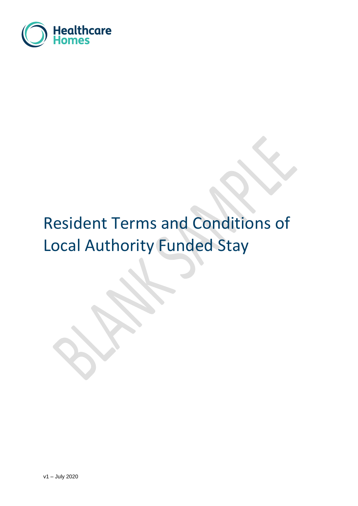

# Resident Terms and Conditions of Local Authority Funded Stay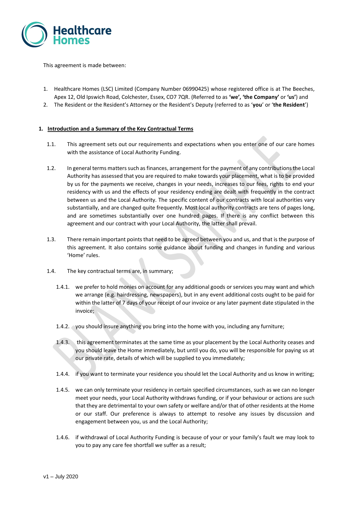

This agreement is made between:

- 1. Healthcare Homes (LSC) Limited (Company Number 06990425) whose registered office is at The Beeches, Apex 12, Old Ipswich Road, Colchester, Essex, CO7 7QR. (Referred to as **'we', 'the Company'** or **'us'**) and
- 2. The Resident or the Resident's Attorney or the Resident's Deputy (referred to as '**you**' or '**the Resident**')

### **1. Introduction and a Summary of the Key Contractual Terms**

- 1.1. This agreement sets out our requirements and expectations when you enter one of our care homes with the assistance of Local Authority Funding.
- 1.2. In general terms matters such as finances, arrangement for the payment of any contributions the Local Authority has assessed that you are required to make towards your placement, what is to be provided by us for the payments we receive, changes in your needs, increases to our fees, rights to end your residency with us and the effects of your residency ending are dealt with frequently in the contract between us and the Local Authority. The specific content of our contracts with local authorities vary substantially, and are changed quite frequently. Most local authority contracts are tens of pages long, and are sometimes substantially over one hundred pages. If there is any conflict between this agreement and our contract with your Local Authority, the latter shall prevail.
- 1.3. There remain important points that need to be agreed between you and us, and that is the purpose of this agreement. It also contains some guidance about funding and changes in funding and various 'Home' rules.
- 1.4. The key contractual terms are, in summary;
	- 1.4.1. we prefer to hold monies on account for any additional goods or services you may want and which we arrange (e.g. hairdressing, newspapers), but in any event additional costs ought to be paid for within the latter of 7 days of your receipt of our invoice or any later payment date stipulated in the invoice;
	- 1.4.2. you should insure anything you bring into the home with you, including any furniture;
	- 1.4.3. this agreement terminates at the same time as your placement by the Local Authority ceases and you should leave the Home immediately, but until you do, you will be responsible for paying us at our private rate, details of which will be supplied to you immediately;
	- 1.4.4. if you want to terminate your residence you should let the Local Authority and us know in writing;
	- 1.4.5. we can only terminate your residency in certain specified circumstances, such as we can no longer meet your needs, your Local Authority withdraws funding, or if your behaviour or actions are such that they are detrimental to your own safety or welfare and/or that of other residents at the Home or our staff. Our preference is always to attempt to resolve any issues by discussion and engagement between you, us and the Local Authority;
	- 1.4.6. if withdrawal of Local Authority Funding is because of your or your family's fault we may look to you to pay any care fee shortfall we suffer as a result;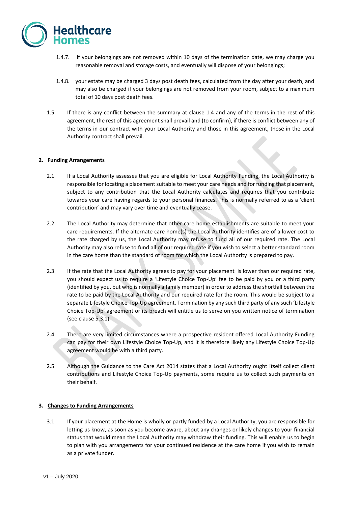

- 1.4.7. if your belongings are not removed within 10 days of the termination date, we may charge you reasonable removal and storage costs, and eventually will dispose of your belongings;
- 1.4.8. your estate may be charged 3 days post death fees, calculated from the day after your death, and may also be charged if your belongings are not removed from your room, subject to a maximum total of 10 days post death fees.
- 1.5. If there is any conflict between the summary at clause 1.4 and any of the terms in the rest of this agreement, the rest of this agreement shall prevail and (to confirm), if there is conflict between any of the terms in our contract with your Local Authority and those in this agreement, those in the Local Authority contract shall prevail.

### **2. Funding Arrangements**

- 2.1. If a Local Authority assesses that you are eligible for Local Authority Funding, the Local Authority is responsible for locating a placement suitable to meet your care needs and for funding that placement, subject to any contribution that the Local Authority calculates and requires that you contribute towards your care having regards to your personal finances. This is normally referred to as a 'client contribution' and may vary over time and eventually cease.
- 2.2. The Local Authority may determine that other care home establishments are suitable to meet your care requirements. If the alternate care home(s) the Local Authority identifies are of a lower cost to the rate charged by us, the Local Authority may refuse to fund all of our required rate. The Local Authority may also refuse to fund all of our required rate if you wish to select a better standard room in the care home than the standard of room for which the Local Authority is prepared to pay.
- 2.3. If the rate that the Local Authority agrees to pay for your placement is lower than our required rate, you should expect us to require a 'Lifestyle Choice Top-Up' fee to be paid by you or a third party (identified by you, but who is normally a family member) in order to address the shortfall between the rate to be paid by the Local Authority and our required rate for the room. This would be subject to a separate Lifestyle Choice Top-Up agreement. Termination by any such third party of any such 'Lifestyle Choice Top-Up' agreement or its breach will entitle us to serve on you written notice of termination (see clause 5.3.1).
- 2.4. There are very limited circumstances where a prospective resident offered Local Authority Funding can pay for their own Lifestyle Choice Top-Up, and it is therefore likely any Lifestyle Choice Top-Up agreement would be with a third party.
- 2.5. Although the Guidance to the Care Act 2014 states that a Local Authority ought itself collect client contributions and Lifestyle Choice Top-Up payments, some require us to collect such payments on their behalf.

### **3. Changes to Funding Arrangements**

3.1. If your placement at the Home is wholly or partly funded by a Local Authority, you are responsible for letting us know, as soon as you become aware, about any changes or likely changes to your financial status that would mean the Local Authority may withdraw their funding. This will enable us to begin to plan with you arrangements for your continued residence at the care home if you wish to remain as a private funder.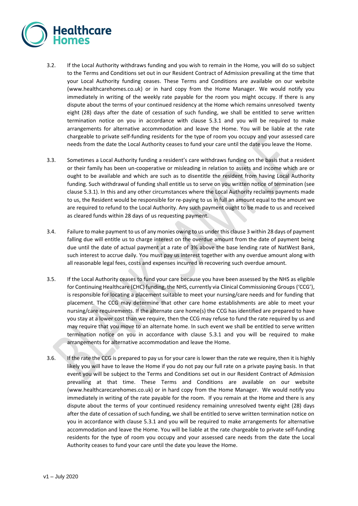

- 3.2. If the Local Authority withdraws funding and you wish to remain in the Home, you will do so subject to the Terms and Conditions set out in our Resident Contract of Admission prevailing at the time that your Local Authority funding ceases. These Terms and Conditions are available on our website (www.healthcarehomes.co.uk) or in hard copy from the Home Manager. We would notify you immediately in writing of the weekly rate payable for the room you might occupy. If there is any dispute about the terms of your continued residency at the Home which remains unresolved twenty eight (28) days after the date of cessation of such funding, we shall be entitled to serve written termination notice on you in accordance with clause 5.3.1 and you will be required to make arrangements for alternative accommodation and leave the Home. You will be liable at the rate chargeable to private self-funding residents for the type of room you occupy and your assessed care needs from the date the Local Authority ceases to fund your care until the date you leave the Home.
- 3.3. Sometimes a Local Authority funding a resident's care withdraws funding on the basis that a resident or their family has been un-cooperative or misleading in relation to assets and income which are or ought to be available and which are such as to disentitle the resident from having Local Authority funding. Such withdrawal of funding shall entitle us to serve on you written notice of termination (see clause 5.3.1). In this and any other circumstances where the Local Authority reclaims payments made to us, the Resident would be responsible for re-paying to us in full an amount equal to the amount we are required to refund to the Local Authority. Any such payment ought to be made to us and received as cleared funds within 28 days of us requesting payment.
- 3.4. Failure to make payment to us of any monies owing to us under this clause 3 within 28 days of payment falling due will entitle us to charge interest on the overdue amount from the date of payment being due until the date of actual payment at a rate of 3% above the base lending rate of NatWest Bank, such interest to accrue daily. You must pay us interest together with any overdue amount along with all reasonable legal fees, costs and expenses incurred in recovering such overdue amount.
- 3.5. If the Local Authority ceases to fund your care because you have been assessed by the NHS as eligible for Continuing Healthcare (CHC) funding, the NHS, currently via Clinical Commissioning Groups ('CCG'), is responsible for locating a placement suitable to meet your nursing/care needs and for funding that placement. The CCG may determine that other care home establishments are able to meet your nursing/care requirements. If the alternate care home(s) the CCG has identified are prepared to have you stay at a lower cost than we require, then the CCG may refuse to fund the rate required by us and may require that you move to an alternate home. In such event we shall be entitled to serve written termination notice on you in accordance with clause 5.3.1 and you will be required to make arrangements for alternative accommodation and leave the Home.
- 3.6. If the rate the CCG is prepared to pay us for your care is lower than the rate we require, then it is highly likely you will have to leave the Home if you do not pay our full rate on a private paying basis. In that event you will be subject to the Terms and Conditions set out in our Resident Contract of Admission prevailing at that time. These Terms and Conditions are available on our website (www.healthcarecarehomes.co.uk) or in hard copy from the Home Manager. We would notify you immediately in writing of the rate payable for the room. If you remain at the Home and there is any dispute about the terms of your continued residency remaining unresolved twenty eight (28) days after the date of cessation of such funding, we shall be entitled to serve written termination notice on you in accordance with clause 5.3.1 and you will be required to make arrangements for alternative accommodation and leave the Home. You will be liable at the rate chargeable to private self-funding residents for the type of room you occupy and your assessed care needs from the date the Local Authority ceases to fund your care until the date you leave the Home.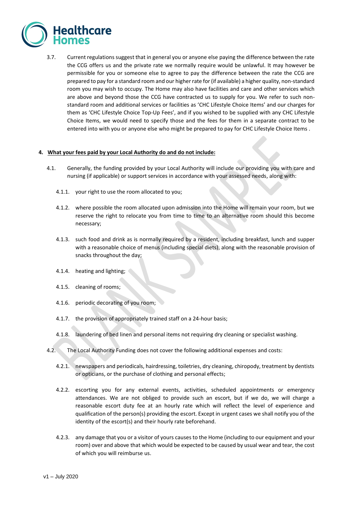

3.7. Current regulations suggest that in general you or anyone else paying the difference between the rate the CCG offers us and the private rate we normally require would be unlawful. It may however be permissible for you or someone else to agree to pay the difference between the rate the CCG are prepared to pay for a standard room and our higher rate for (if available) a higher quality, non-standard room you may wish to occupy. The Home may also have facilities and care and other services which are above and beyond those the CCG have contracted us to supply for you. We refer to such nonstandard room and additional services or facilities as 'CHC Lifestyle Choice Items' and our charges for them as 'CHC Lifestyle Choice Top-Up Fees', and if you wished to be supplied with any CHC Lifestyle Choice Items, we would need to specify those and the fees for them in a separate contract to be entered into with you or anyone else who might be prepared to pay for CHC Lifestyle Choice Items .

#### **4. What your fees paid by your Local Authority do and do not include:**

- 4.1. Generally, the funding provided by your Local Authority will include our providing you with care and nursing (if applicable) or support services in accordance with your assessed needs, along with:
	- 4.1.1. your right to use the room allocated to you;
	- 4.1.2. where possible the room allocated upon admission into the Home will remain your room, but we reserve the right to relocate you from time to time to an alternative room should this become necessary;
	- 4.1.3. such food and drink as is normally required by a resident, including breakfast, lunch and supper with a reasonable choice of menus (including special diets), along with the reasonable provision of snacks throughout the day;
	- 4.1.4. heating and lighting;
	- 4.1.5. cleaning of rooms;
	- 4.1.6. periodic decorating of you room;
	- 4.1.7. the provision of appropriately trained staff on a 24-hour basis;
	- 4.1.8. laundering of bed linen and personal items not requiring dry cleaning or specialist washing.
- 4.2. The Local Authority Funding does not cover the following additional expenses and costs:
	- 4.2.1. newspapers and periodicals, hairdressing, toiletries, dry cleaning, chiropody, treatment by dentists or opticians, or the purchase of clothing and personal effects;
	- 4.2.2. escorting you for any external events, activities, scheduled appointments or emergency attendances. We are not obliged to provide such an escort, but if we do, we will charge a reasonable escort duty fee at an hourly rate which will reflect the level of experience and qualification of the person(s) providing the escort. Except in urgent cases we shall notify you of the identity of the escort(s) and their hourly rate beforehand.
	- 4.2.3. any damage that you or a visitor of yours causes to the Home (including to our equipment and your room) over and above that which would be expected to be caused by usual wear and tear, the cost of which you will reimburse us.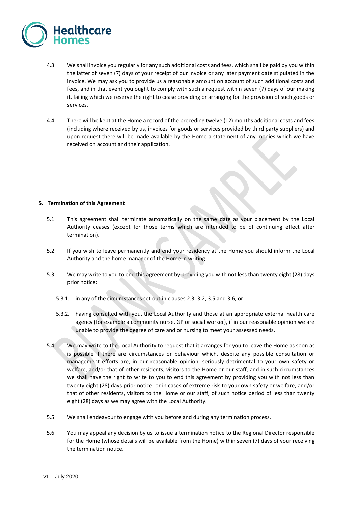

- 4.3. We shall invoice you regularly for any such additional costs and fees, which shall be paid by you within the latter of seven (7) days of your receipt of our invoice or any later payment date stipulated in the invoice. We may ask you to provide us a reasonable amount on account of such additional costs and fees, and in that event you ought to comply with such a request within seven (7) days of our making it, failing which we reserve the right to cease providing or arranging for the provision of such goods or services.
- 4.4. There will be kept at the Home a record of the preceding twelve (12) months additional costs and fees (including where received by us, invoices for goods or services provided by third party suppliers) and upon request there will be made available by the Home a statement of any monies which we have received on account and their application.

## **5. Termination of this Agreement**

- 5.1. This agreement shall terminate automatically on the same date as your placement by the Local Authority ceases (except for those terms which are intended to be of continuing effect after termination).
- 5.2. If you wish to leave permanently and end your residency at the Home you should inform the Local Authority and the home manager of the Home in writing.
- 5.3. We may write to you to end this agreement by providing you with not less than twenty eight (28) days prior notice:
	- 5.3.1. in any of the circumstances set out in clauses 2.3, 3.2, 3.5 and 3.6; or
	- 5.3.2. having consulted with you, the Local Authority and those at an appropriate external health care agency (for example a community nurse, GP or social worker), if in our reasonable opinion we are unable to provide the degree of care and or nursing to meet your assessed needs.
- 5.4. We may write to the Local Authority to request that it arranges for you to leave the Home as soon as is possible if there are circumstances or behaviour which, despite any possible consultation or management efforts are, in our reasonable opinion, seriously detrimental to your own safety or welfare, and/or that of other residents, visitors to the Home or our staff; and in such circumstances we shall have the right to write to you to end this agreement by providing you with not less than twenty eight (28) days prior notice, or in cases of extreme risk to your own safety or welfare, and/or that of other residents, visitors to the Home or our staff, of such notice period of less than twenty eight (28) days as we may agree with the Local Authority.
- 5.5. We shall endeavour to engage with you before and during any termination process.
- 5.6. You may appeal any decision by us to issue a termination notice to the Regional Director responsible for the Home (whose details will be available from the Home) within seven (7) days of your receiving the termination notice.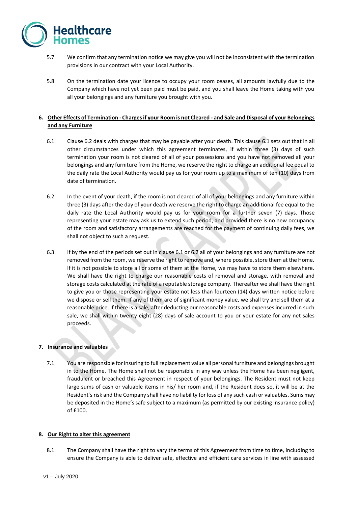

- 5.7. We confirm that any termination notice we may give you will not be inconsistent with the termination provisions in our contract with your Local Authority.
- 5.8. On the termination date your licence to occupy your room ceases, all amounts lawfully due to the Company which have not yet been paid must be paid, and you shall leave the Home taking with you all your belongings and any furniture you brought with you.

# **6. Other Effects of Termination - Charges if your Room is not Cleared - and Sale and Disposal of your Belongings and any Furniture**

- 6.1. Clause 6.2 deals with charges that may be payable after your death. This clause 6.1 sets out that in all other circumstances under which this agreement terminates, if within three (3) days of such termination your room is not cleared of all of your possessions and you have not removed all your belongings and any furniture from the Home, we reserve the right to charge an additional fee equal to the daily rate the Local Authority would pay us for your room up to a maximum of ten (10) days from date of termination.
- 6.2. In the event of your death, if the room is not cleared of all of your belongings and any furniture within three (3) days after the day of your death we reserve the right to charge an additional fee equal to the daily rate the Local Authority would pay us for your room for a further seven (7) days. Those representing your estate may ask us to extend such period, and provided there is no new occupancy of the room and satisfactory arrangements are reached for the payment of continuing daily fees, we shall not object to such a request.
- 6.3. If by the end of the periods set out in clause 6.1 or 6.2 all of your belongings and any furniture are not removed from the room, we reserve the right to remove and, where possible, store them at the Home. If it is not possible to store all or some of them at the Home, we may have to store them elsewhere. We shall have the right to charge our reasonable costs of removal and storage, with removal and storage costs calculated at the rate of a reputable storage company. Thereafter we shall have the right to give you or those representing your estate not less than fourteen (14) days written notice before we dispose or sell them. If any of them are of significant money value, we shall try and sell them at a reasonable price. If there is a sale, after deducting our reasonable costs and expenses incurred in such sale, we shall within twenty eight (28) days of sale account to you or your estate for any net sales proceeds.

# **7. Insurance and valuables**

7.1. You are responsible for insuring to full replacement value all personal furniture and belongings brought in to the Home. The Home shall not be responsible in any way unless the Home has been negligent, fraudulent or breached this Agreement in respect of your belongings. The Resident must not keep large sums of cash or valuable items in his/ her room and, if the Resident does so, it will be at the Resident's risk and the Company shall have no liability for loss of any such cash or valuables. Sums may be deposited in the Home's safe subject to a maximum (as permitted by our existing insurance policy) of £100.

### **8. Our Right to alter this agreement**

8.1. The Company shall have the right to vary the terms of this Agreement from time to time, including to ensure the Company is able to deliver safe, effective and efficient care services in line with assessed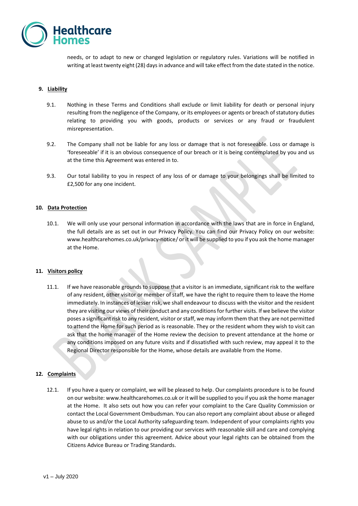

needs, or to adapt to new or changed legislation or regulatory rules. Variations will be notified in writing at least twenty eight (28) days in advance and will take effect from the date stated in the notice.

## **9. Liability**

- 9.1. Nothing in these Terms and Conditions shall exclude or limit liability for death or personal injury resulting from the negligence of the Company, or its employees or agents or breach of statutory duties relating to providing you with goods, products or services or any fraud or fraudulent misrepresentation.
- 9.2. The Company shall not be liable for any loss or damage that is not foreseeable. Loss or damage is 'foreseeable' if it is an obvious consequence of our breach or it is being contemplated by you and us at the time this Agreement was entered in to.
- 9.3. Our total liability to you in respect of any loss of or damage to your belongings shall be limited to £2,500 for any one incident.

### **10. Data Protection**

10.1. We will only use your personal information in accordance with the laws that are in force in England, the full details are as set out in our Privacy Policy. You can find our Privacy Policy on our website: [www.healthcarehomes.co.uk/privacy-notice/](http://www.healthcarehomes.co.uk/privacy-notice/) or it will be supplied to you if you ask the home manager at the Home.

### **11. Visitors policy**

11.1. If we have reasonable grounds to suppose that a visitor is an immediate, significant risk to the welfare of any resident, other visitor or member of staff, we have the right to require them to leave the Home immediately. In instances of lesser risk, we shall endeavour to discuss with the visitor and the resident they are visiting our views of their conduct and any conditions for further visits. If we believe the visitor poses a significant risk to any resident, visitor or staff, we may inform them that they are not permitted to attend the Home for such period as is reasonable. They or the resident whom they wish to visit can ask that the home manager of the Home review the decision to prevent attendance at the home or any conditions imposed on any future visits and if dissatisfied with such review, may appeal it to the Regional Director responsible for the Home, whose details are available from the Home.

### **12. Complaints**

12.1. If you have a query or complaint, we will be pleased to help. Our complaints procedure is to be found on our website: www.healthcarehomes.co.uk or it will be supplied to you if you ask the home manager at the Home. It also sets out how you can refer your complaint to the Care Quality Commission or contact the Local Government Ombudsman. You can also report any complaint about abuse or alleged abuse to us and/or the Local Authority safeguarding team. Independent of your complaints rights you have legal rights in relation to our providing our services with reasonable skill and care and complying with our obligations under this agreement. Advice about your legal rights can be obtained from the Citizens Advice Bureau or Trading Standards.